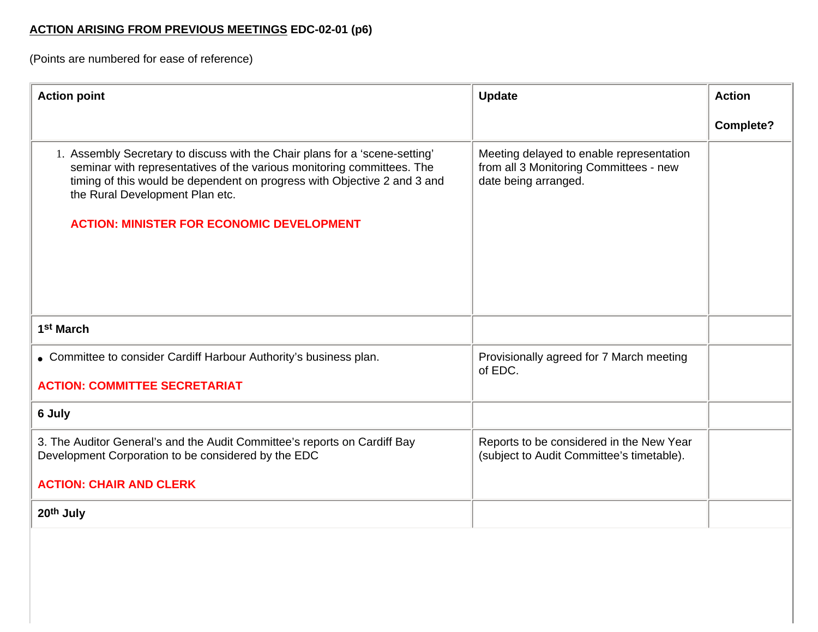## **ACTION ARISING FROM PREVIOUS MEETINGS EDC-02-01 (p6)**

(Points are numbered for ease of reference)

| <b>Action point</b>                                                                                                                                                                                                                                                                                                      | <b>Update</b>                                                                                              | <b>Action</b>    |
|--------------------------------------------------------------------------------------------------------------------------------------------------------------------------------------------------------------------------------------------------------------------------------------------------------------------------|------------------------------------------------------------------------------------------------------------|------------------|
|                                                                                                                                                                                                                                                                                                                          |                                                                                                            | <b>Complete?</b> |
| 1. Assembly Secretary to discuss with the Chair plans for a 'scene-setting'<br>seminar with representatives of the various monitoring committees. The<br>timing of this would be dependent on progress with Objective 2 and 3 and<br>the Rural Development Plan etc.<br><b>ACTION: MINISTER FOR ECONOMIC DEVELOPMENT</b> | Meeting delayed to enable representation<br>from all 3 Monitoring Committees - new<br>date being arranged. |                  |
| 1 <sup>st</sup> March                                                                                                                                                                                                                                                                                                    |                                                                                                            |                  |
| • Committee to consider Cardiff Harbour Authority's business plan.                                                                                                                                                                                                                                                       | Provisionally agreed for 7 March meeting<br>of EDC.                                                        |                  |
| <b>ACTION: COMMITTEE SECRETARIAT</b>                                                                                                                                                                                                                                                                                     |                                                                                                            |                  |
| 6 July                                                                                                                                                                                                                                                                                                                   |                                                                                                            |                  |
| 3. The Auditor General's and the Audit Committee's reports on Cardiff Bay<br>Development Corporation to be considered by the EDC                                                                                                                                                                                         | Reports to be considered in the New Year<br>(subject to Audit Committee's timetable).                      |                  |
| <b>ACTION: CHAIR AND CLERK</b>                                                                                                                                                                                                                                                                                           |                                                                                                            |                  |
| 20th July                                                                                                                                                                                                                                                                                                                |                                                                                                            |                  |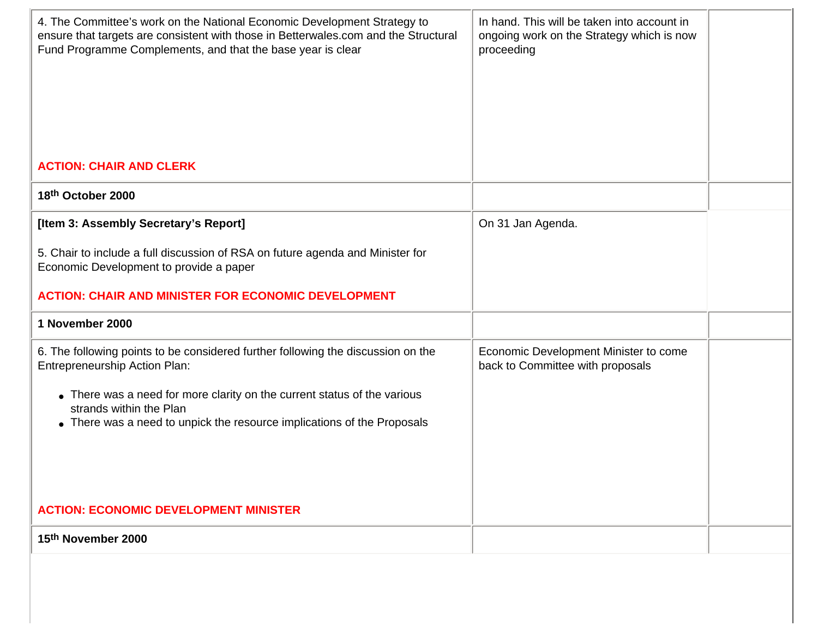| 4. The Committee's work on the National Economic Development Strategy to<br>ensure that targets are consistent with those in Betterwales.com and the Structural<br>Fund Programme Complements, and that the base year is clear | In hand. This will be taken into account in<br>ongoing work on the Strategy which is now<br>proceeding |  |
|--------------------------------------------------------------------------------------------------------------------------------------------------------------------------------------------------------------------------------|--------------------------------------------------------------------------------------------------------|--|
| <b>ACTION: CHAIR AND CLERK</b>                                                                                                                                                                                                 |                                                                                                        |  |
| 18th October 2000                                                                                                                                                                                                              |                                                                                                        |  |
| [Item 3: Assembly Secretary's Report]<br>5. Chair to include a full discussion of RSA on future agenda and Minister for                                                                                                        | On 31 Jan Agenda.                                                                                      |  |
| Economic Development to provide a paper                                                                                                                                                                                        |                                                                                                        |  |
| <b>ACTION: CHAIR AND MINISTER FOR ECONOMIC DEVELOPMENT</b>                                                                                                                                                                     |                                                                                                        |  |
| 1 November 2000                                                                                                                                                                                                                |                                                                                                        |  |
| 6. The following points to be considered further following the discussion on the<br><b>Entrepreneurship Action Plan:</b>                                                                                                       | Economic Development Minister to come<br>back to Committee with proposals                              |  |
| • There was a need for more clarity on the current status of the various<br>strands within the Plan<br>• There was a need to unpick the resource implications of the Proposals                                                 |                                                                                                        |  |
| <b>ACTION: ECONOMIC DEVELOPMENT MINISTER</b>                                                                                                                                                                                   |                                                                                                        |  |
| 15th November 2000                                                                                                                                                                                                             |                                                                                                        |  |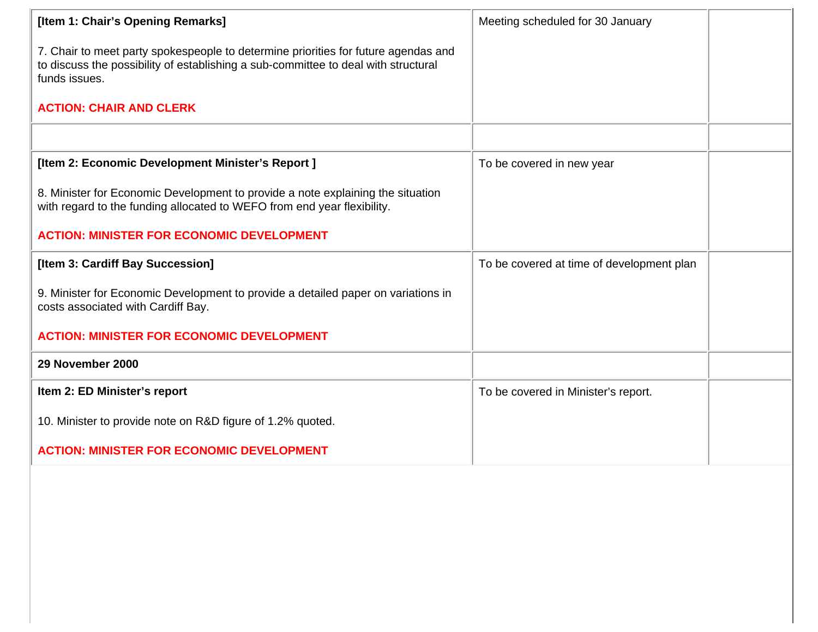| [Item 1: Chair's Opening Remarks]                                                                                                                                                         | Meeting scheduled for 30 January          |  |
|-------------------------------------------------------------------------------------------------------------------------------------------------------------------------------------------|-------------------------------------------|--|
| 7. Chair to meet party spokespeople to determine priorities for future agendas and<br>to discuss the possibility of establishing a sub-committee to deal with structural<br>funds issues. |                                           |  |
| <b>ACTION: CHAIR AND CLERK</b>                                                                                                                                                            |                                           |  |
|                                                                                                                                                                                           |                                           |  |
| [Item 2: Economic Development Minister's Report]                                                                                                                                          | To be covered in new year                 |  |
| 8. Minister for Economic Development to provide a note explaining the situation<br>with regard to the funding allocated to WEFO from end year flexibility.                                |                                           |  |
| <b>ACTION: MINISTER FOR ECONOMIC DEVELOPMENT</b>                                                                                                                                          |                                           |  |
| [Item 3: Cardiff Bay Succession]                                                                                                                                                          | To be covered at time of development plan |  |
| 9. Minister for Economic Development to provide a detailed paper on variations in<br>costs associated with Cardiff Bay.                                                                   |                                           |  |
| <b>ACTION: MINISTER FOR ECONOMIC DEVELOPMENT</b>                                                                                                                                          |                                           |  |
| 29 November 2000                                                                                                                                                                          |                                           |  |
| Item 2: ED Minister's report                                                                                                                                                              | To be covered in Minister's report.       |  |
| 10. Minister to provide note on R&D figure of 1.2% quoted.                                                                                                                                |                                           |  |
| <b>ACTION: MINISTER FOR ECONOMIC DEVELOPMENT</b>                                                                                                                                          |                                           |  |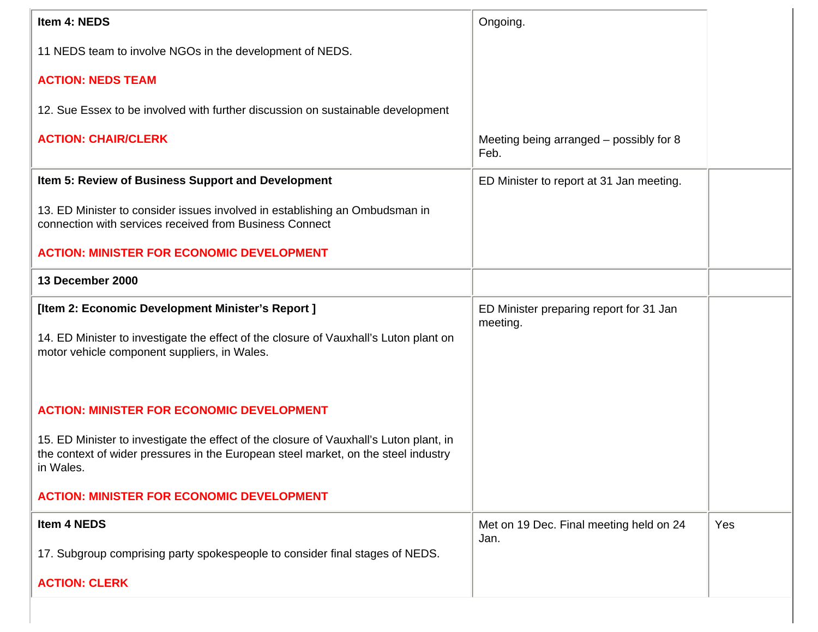| Item 4: NEDS                                                                                                                                                                              | Ongoing.                                            |     |
|-------------------------------------------------------------------------------------------------------------------------------------------------------------------------------------------|-----------------------------------------------------|-----|
| 11 NEDS team to involve NGOs in the development of NEDS.                                                                                                                                  |                                                     |     |
| <b>ACTION: NEDS TEAM</b>                                                                                                                                                                  |                                                     |     |
| 12. Sue Essex to be involved with further discussion on sustainable development                                                                                                           |                                                     |     |
| <b>ACTION: CHAIR/CLERK</b>                                                                                                                                                                | Meeting being arranged – possibly for 8<br>Feb.     |     |
| Item 5: Review of Business Support and Development                                                                                                                                        | ED Minister to report at 31 Jan meeting.            |     |
| 13. ED Minister to consider issues involved in establishing an Ombudsman in<br>connection with services received from Business Connect                                                    |                                                     |     |
| <b>ACTION: MINISTER FOR ECONOMIC DEVELOPMENT</b>                                                                                                                                          |                                                     |     |
| 13 December 2000                                                                                                                                                                          |                                                     |     |
| [Item 2: Economic Development Minister's Report]                                                                                                                                          | ED Minister preparing report for 31 Jan<br>meeting. |     |
| 14. ED Minister to investigate the effect of the closure of Vauxhall's Luton plant on<br>motor vehicle component suppliers, in Wales.                                                     |                                                     |     |
|                                                                                                                                                                                           |                                                     |     |
| <b>ACTION: MINISTER FOR ECONOMIC DEVELOPMENT</b>                                                                                                                                          |                                                     |     |
| 15. ED Minister to investigate the effect of the closure of Vauxhall's Luton plant, in<br>the context of wider pressures in the European steel market, on the steel industry<br>in Wales. |                                                     |     |
| <b>ACTION: MINISTER FOR ECONOMIC DEVELOPMENT</b>                                                                                                                                          |                                                     |     |
| Item 4 NEDS                                                                                                                                                                               | Met on 19 Dec. Final meeting held on 24<br>Jan.     | Yes |
| 17. Subgroup comprising party spokespeople to consider final stages of NEDS.                                                                                                              |                                                     |     |
| <b>ACTION: CLERK</b>                                                                                                                                                                      |                                                     |     |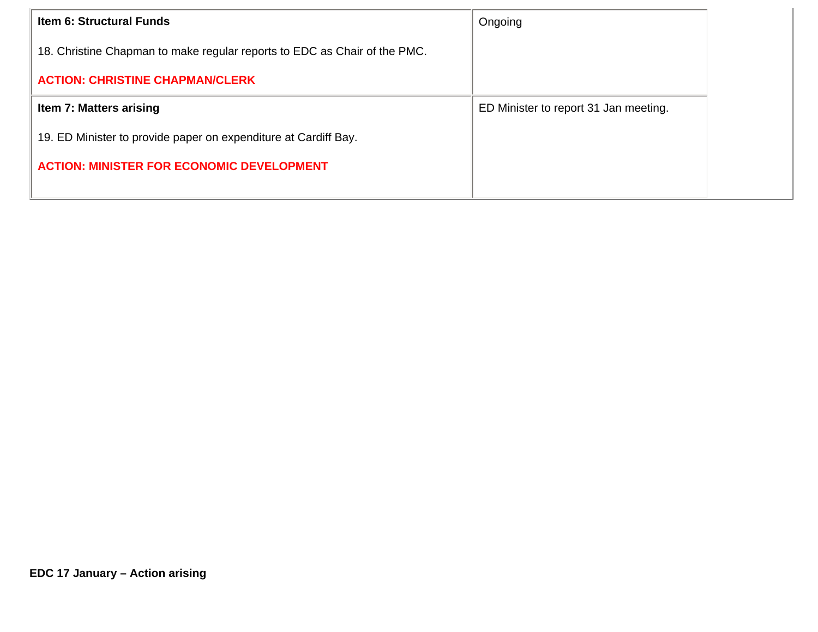| <b>Item 6: Structural Funds</b>                                           | Ongoing                               |
|---------------------------------------------------------------------------|---------------------------------------|
| 18. Christine Chapman to make regular reports to EDC as Chair of the PMC. |                                       |
| <b>ACTION: CHRISTINE CHAPMAN/CLERK</b>                                    |                                       |
| Item 7: Matters arising                                                   | ED Minister to report 31 Jan meeting. |
| 19. ED Minister to provide paper on expenditure at Cardiff Bay.           |                                       |
| <b>ACTION: MINISTER FOR ECONOMIC DEVELOPMENT</b>                          |                                       |
|                                                                           |                                       |